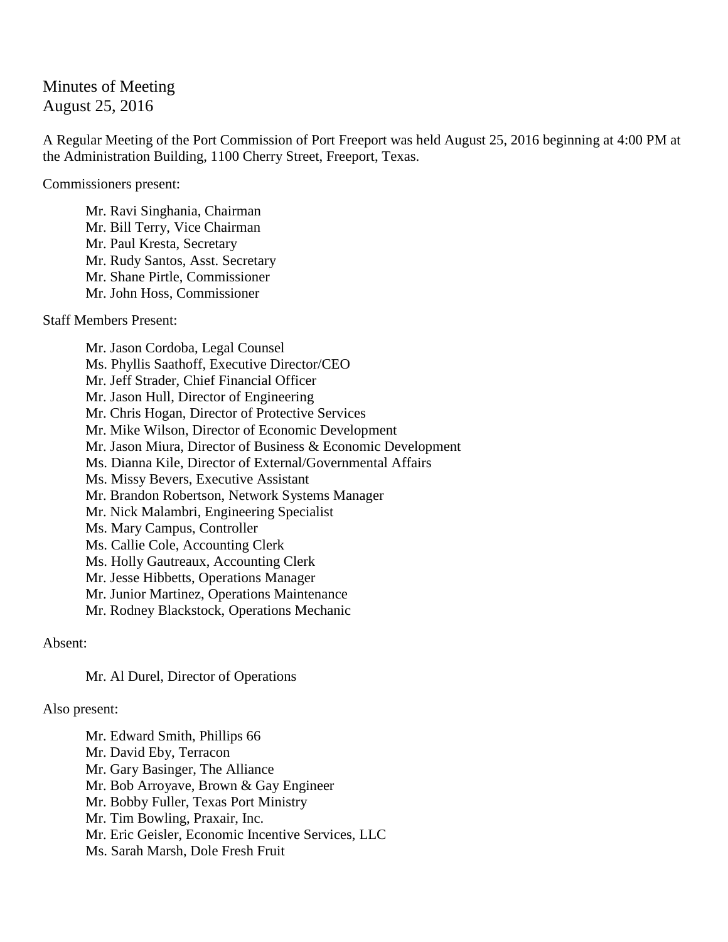## Minutes of Meeting August 25, 2016

A Regular Meeting of the Port Commission of Port Freeport was held August 25, 2016 beginning at 4:00 PM at the Administration Building, 1100 Cherry Street, Freeport, Texas.

Commissioners present:

Mr. Ravi Singhania, Chairman Mr. Bill Terry, Vice Chairman Mr. Paul Kresta, Secretary Mr. Rudy Santos, Asst. Secretary Mr. Shane Pirtle, Commissioner Mr. John Hoss, Commissioner

Staff Members Present:

Mr. Jason Cordoba, Legal Counsel Ms. Phyllis Saathoff, Executive Director/CEO Mr. Jeff Strader, Chief Financial Officer Mr. Jason Hull, Director of Engineering Mr. Chris Hogan, Director of Protective Services Mr. Mike Wilson, Director of Economic Development Mr. Jason Miura, Director of Business & Economic Development Ms. Dianna Kile, Director of External/Governmental Affairs Ms. Missy Bevers, Executive Assistant Mr. Brandon Robertson, Network Systems Manager Mr. Nick Malambri, Engineering Specialist Ms. Mary Campus, Controller Ms. Callie Cole, Accounting Clerk Ms. Holly Gautreaux, Accounting Clerk Mr. Jesse Hibbetts, Operations Manager Mr. Junior Martinez, Operations Maintenance Mr. Rodney Blackstock, Operations Mechanic

Absent:

Mr. Al Durel, Director of Operations

## Also present:

Mr. Edward Smith, Phillips 66 Mr. David Eby, Terracon Mr. Gary Basinger, The Alliance Mr. Bob Arroyave, Brown & Gay Engineer Mr. Bobby Fuller, Texas Port Ministry Mr. Tim Bowling, Praxair, Inc. Mr. Eric Geisler, Economic Incentive Services, LLC Ms. Sarah Marsh, Dole Fresh Fruit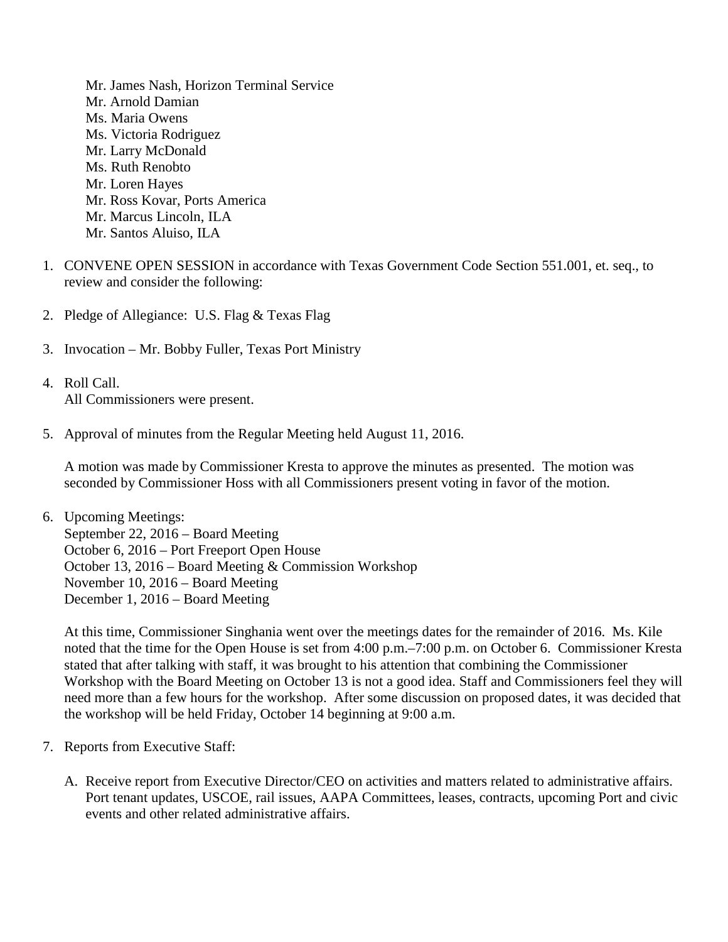- Mr. James Nash, Horizon Terminal Service Mr. Arnold Damian Ms. Maria Owens Ms. Victoria Rodriguez Mr. Larry McDonald Ms. Ruth Renobto Mr. Loren Hayes Mr. Ross Kovar, Ports America Mr. Marcus Lincoln, ILA Mr. Santos Aluiso, ILA
- 1. CONVENE OPEN SESSION in accordance with Texas Government Code Section 551.001, et. seq., to review and consider the following:
- 2. Pledge of Allegiance: U.S. Flag & Texas Flag
- 3. Invocation Mr. Bobby Fuller, Texas Port Ministry
- 4. Roll Call. All Commissioners were present.
- 5. Approval of minutes from the Regular Meeting held August 11, 2016.

A motion was made by Commissioner Kresta to approve the minutes as presented. The motion was seconded by Commissioner Hoss with all Commissioners present voting in favor of the motion.

6. Upcoming Meetings: September 22, 2016 – Board Meeting October 6, 2016 – Port Freeport Open House October 13, 2016 – Board Meeting & Commission Workshop November 10, 2016 – Board Meeting December 1, 2016 – Board Meeting

At this time, Commissioner Singhania went over the meetings dates for the remainder of 2016. Ms. Kile noted that the time for the Open House is set from 4:00 p.m.–7:00 p.m. on October 6. Commissioner Kresta stated that after talking with staff, it was brought to his attention that combining the Commissioner Workshop with the Board Meeting on October 13 is not a good idea. Staff and Commissioners feel they will need more than a few hours for the workshop. After some discussion on proposed dates, it was decided that the workshop will be held Friday, October 14 beginning at 9:00 a.m.

- 7. Reports from Executive Staff:
	- A. Receive report from Executive Director/CEO on activities and matters related to administrative affairs. Port tenant updates, USCOE, rail issues, AAPA Committees, leases, contracts, upcoming Port and civic events and other related administrative affairs.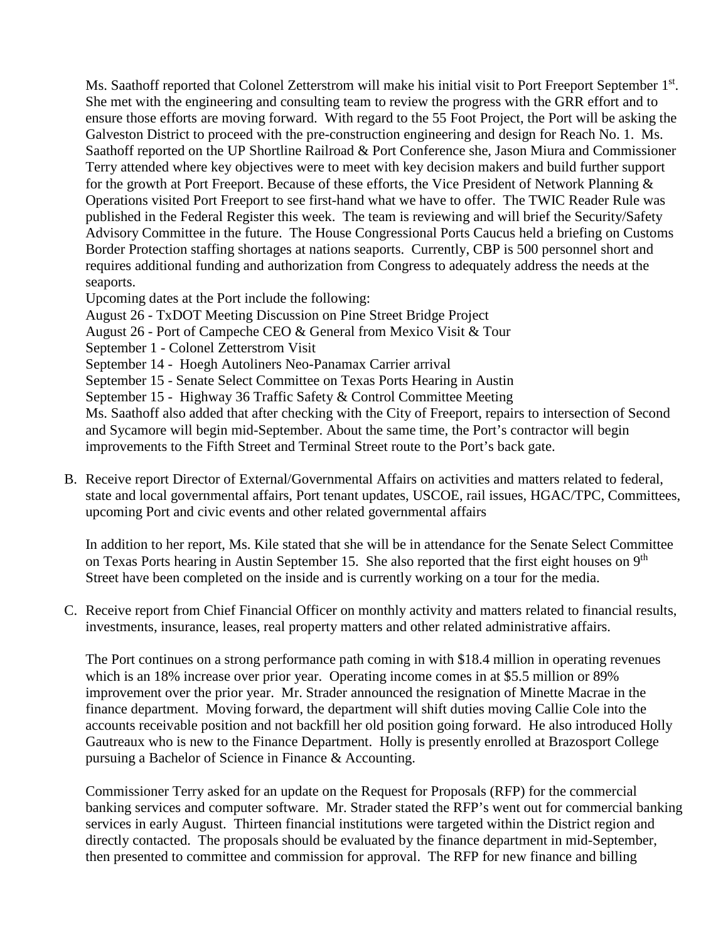Ms. Saathoff reported that Colonel Zetterstrom will make his initial visit to Port Freeport September 1<sup>st</sup>. She met with the engineering and consulting team to review the progress with the GRR effort and to ensure those efforts are moving forward. With regard to the 55 Foot Project, the Port will be asking the Galveston District to proceed with the pre-construction engineering and design for Reach No. 1. Ms. Saathoff reported on the UP Shortline Railroad & Port Conference she, Jason Miura and Commissioner Terry attended where key objectives were to meet with key decision makers and build further support for the growth at Port Freeport. Because of these efforts, the Vice President of Network Planning & Operations visited Port Freeport to see first-hand what we have to offer. The TWIC Reader Rule was published in the Federal Register this week. The team is reviewing and will brief the Security/Safety Advisory Committee in the future. The House Congressional Ports Caucus held a briefing on Customs Border Protection staffing shortages at nations seaports. Currently, CBP is 500 personnel short and requires additional funding and authorization from Congress to adequately address the needs at the seaports.

Upcoming dates at the Port include the following:

August 26 - TxDOT Meeting Discussion on Pine Street Bridge Project

August 26 - Port of Campeche CEO & General from Mexico Visit & Tour

September 1 - Colonel Zetterstrom Visit

September 14 - Hoegh Autoliners Neo-Panamax Carrier arrival

September 15 - Senate Select Committee on Texas Ports Hearing in Austin

September 15 - Highway 36 Traffic Safety & Control Committee Meeting

Ms. Saathoff also added that after checking with the City of Freeport, repairs to intersection of Second and Sycamore will begin mid-September. About the same time, the Port's contractor will begin improvements to the Fifth Street and Terminal Street route to the Port's back gate.

B. Receive report Director of External/Governmental Affairs on activities and matters related to federal, state and local governmental affairs, Port tenant updates, USCOE, rail issues, HGAC/TPC, Committees, upcoming Port and civic events and other related governmental affairs

In addition to her report, Ms. Kile stated that she will be in attendance for the Senate Select Committee on Texas Ports hearing in Austin September 15. She also reported that the first eight houses on 9<sup>th</sup> Street have been completed on the inside and is currently working on a tour for the media.

C. Receive report from Chief Financial Officer on monthly activity and matters related to financial results, investments, insurance, leases, real property matters and other related administrative affairs.

The Port continues on a strong performance path coming in with \$18.4 million in operating revenues which is an 18% increase over prior year. Operating income comes in at \$5.5 million or 89% improvement over the prior year. Mr. Strader announced the resignation of Minette Macrae in the finance department. Moving forward, the department will shift duties moving Callie Cole into the accounts receivable position and not backfill her old position going forward. He also introduced Holly Gautreaux who is new to the Finance Department. Holly is presently enrolled at Brazosport College pursuing a Bachelor of Science in Finance & Accounting.

Commissioner Terry asked for an update on the Request for Proposals (RFP) for the commercial banking services and computer software. Mr. Strader stated the RFP's went out for commercial banking services in early August. Thirteen financial institutions were targeted within the District region and directly contacted. The proposals should be evaluated by the finance department in mid-September, then presented to committee and commission for approval. The RFP for new finance and billing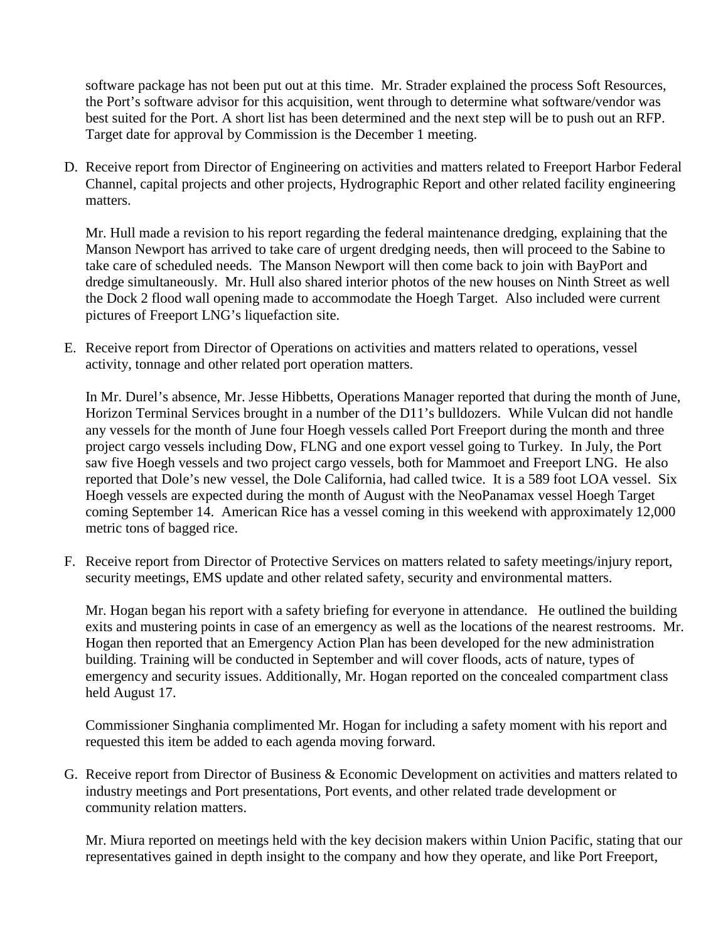software package has not been put out at this time. Mr. Strader explained the process Soft Resources, the Port's software advisor for this acquisition, went through to determine what software/vendor was best suited for the Port. A short list has been determined and the next step will be to push out an RFP. Target date for approval by Commission is the December 1 meeting.

D. Receive report from Director of Engineering on activities and matters related to Freeport Harbor Federal Channel, capital projects and other projects, Hydrographic Report and other related facility engineering matters.

Mr. Hull made a revision to his report regarding the federal maintenance dredging, explaining that the Manson Newport has arrived to take care of urgent dredging needs, then will proceed to the Sabine to take care of scheduled needs. The Manson Newport will then come back to join with BayPort and dredge simultaneously. Mr. Hull also shared interior photos of the new houses on Ninth Street as well the Dock 2 flood wall opening made to accommodate the Hoegh Target. Also included were current pictures of Freeport LNG's liquefaction site.

E. Receive report from Director of Operations on activities and matters related to operations, vessel activity, tonnage and other related port operation matters.

In Mr. Durel's absence, Mr. Jesse Hibbetts, Operations Manager reported that during the month of June, Horizon Terminal Services brought in a number of the D11's bulldozers. While Vulcan did not handle any vessels for the month of June four Hoegh vessels called Port Freeport during the month and three project cargo vessels including Dow, FLNG and one export vessel going to Turkey. In July, the Port saw five Hoegh vessels and two project cargo vessels, both for Mammoet and Freeport LNG. He also reported that Dole's new vessel, the Dole California, had called twice. It is a 589 foot LOA vessel. Six Hoegh vessels are expected during the month of August with the NeoPanamax vessel Hoegh Target coming September 14. American Rice has a vessel coming in this weekend with approximately 12,000 metric tons of bagged rice.

F. Receive report from Director of Protective Services on matters related to safety meetings/injury report, security meetings, EMS update and other related safety, security and environmental matters.

Mr. Hogan began his report with a safety briefing for everyone in attendance. He outlined the building exits and mustering points in case of an emergency as well as the locations of the nearest restrooms. Mr. Hogan then reported that an Emergency Action Plan has been developed for the new administration building. Training will be conducted in September and will cover floods, acts of nature, types of emergency and security issues. Additionally, Mr. Hogan reported on the concealed compartment class held August 17.

Commissioner Singhania complimented Mr. Hogan for including a safety moment with his report and requested this item be added to each agenda moving forward.

G. Receive report from Director of Business & Economic Development on activities and matters related to industry meetings and Port presentations, Port events, and other related trade development or community relation matters.

Mr. Miura reported on meetings held with the key decision makers within Union Pacific, stating that our representatives gained in depth insight to the company and how they operate, and like Port Freeport,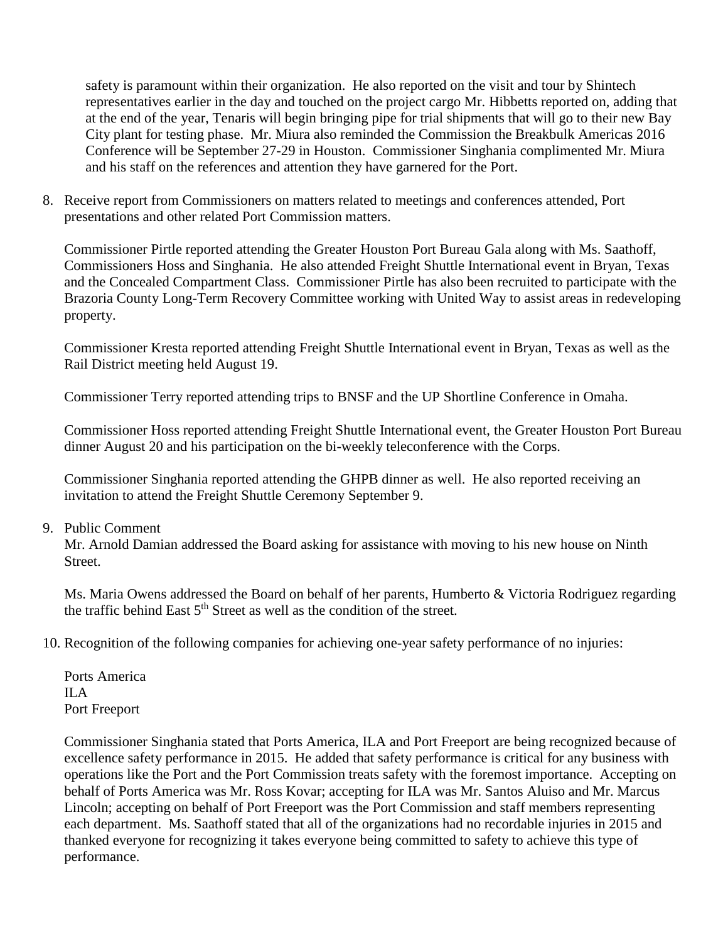safety is paramount within their organization. He also reported on the visit and tour by Shintech representatives earlier in the day and touched on the project cargo Mr. Hibbetts reported on, adding that at the end of the year, Tenaris will begin bringing pipe for trial shipments that will go to their new Bay City plant for testing phase. Mr. Miura also reminded the Commission the Breakbulk Americas 2016 Conference will be September 27-29 in Houston. Commissioner Singhania complimented Mr. Miura and his staff on the references and attention they have garnered for the Port.

8. Receive report from Commissioners on matters related to meetings and conferences attended, Port presentations and other related Port Commission matters.

Commissioner Pirtle reported attending the Greater Houston Port Bureau Gala along with Ms. Saathoff, Commissioners Hoss and Singhania. He also attended Freight Shuttle International event in Bryan, Texas and the Concealed Compartment Class. Commissioner Pirtle has also been recruited to participate with the Brazoria County Long-Term Recovery Committee working with United Way to assist areas in redeveloping property.

Commissioner Kresta reported attending Freight Shuttle International event in Bryan, Texas as well as the Rail District meeting held August 19.

Commissioner Terry reported attending trips to BNSF and the UP Shortline Conference in Omaha.

Commissioner Hoss reported attending Freight Shuttle International event, the Greater Houston Port Bureau dinner August 20 and his participation on the bi-weekly teleconference with the Corps.

Commissioner Singhania reported attending the GHPB dinner as well. He also reported receiving an invitation to attend the Freight Shuttle Ceremony September 9.

## 9. Public Comment

Mr. Arnold Damian addressed the Board asking for assistance with moving to his new house on Ninth Street.

Ms. Maria Owens addressed the Board on behalf of her parents, Humberto & Victoria Rodriguez regarding the traffic behind East  $5<sup>th</sup>$  Street as well as the condition of the street.

10. Recognition of the following companies for achieving one-year safety performance of no injuries:

Ports America ILA Port Freeport

Commissioner Singhania stated that Ports America, ILA and Port Freeport are being recognized because of excellence safety performance in 2015. He added that safety performance is critical for any business with operations like the Port and the Port Commission treats safety with the foremost importance. Accepting on behalf of Ports America was Mr. Ross Kovar; accepting for ILA was Mr. Santos Aluiso and Mr. Marcus Lincoln; accepting on behalf of Port Freeport was the Port Commission and staff members representing each department. Ms. Saathoff stated that all of the organizations had no recordable injuries in 2015 and thanked everyone for recognizing it takes everyone being committed to safety to achieve this type of performance.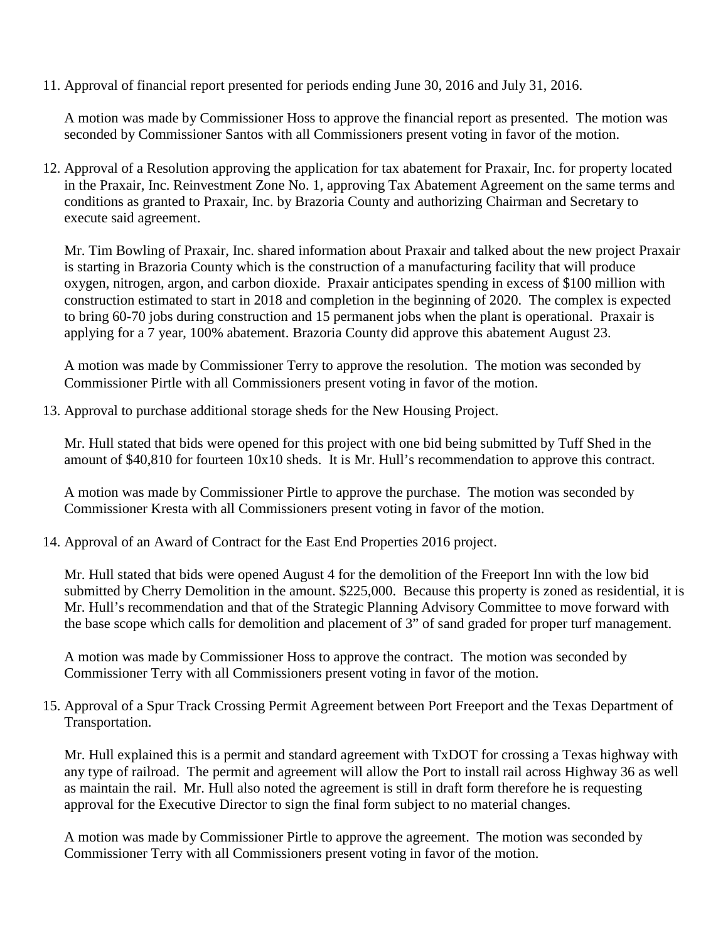11. Approval of financial report presented for periods ending June 30, 2016 and July 31, 2016.

A motion was made by Commissioner Hoss to approve the financial report as presented. The motion was seconded by Commissioner Santos with all Commissioners present voting in favor of the motion.

12. Approval of a Resolution approving the application for tax abatement for Praxair, Inc. for property located in the Praxair, Inc. Reinvestment Zone No. 1, approving Tax Abatement Agreement on the same terms and conditions as granted to Praxair, Inc. by Brazoria County and authorizing Chairman and Secretary to execute said agreement.

Mr. Tim Bowling of Praxair, Inc. shared information about Praxair and talked about the new project Praxair is starting in Brazoria County which is the construction of a manufacturing facility that will produce oxygen, nitrogen, argon, and carbon dioxide. Praxair anticipates spending in excess of \$100 million with construction estimated to start in 2018 and completion in the beginning of 2020. The complex is expected to bring 60-70 jobs during construction and 15 permanent jobs when the plant is operational. Praxair is applying for a 7 year, 100% abatement. Brazoria County did approve this abatement August 23.

A motion was made by Commissioner Terry to approve the resolution. The motion was seconded by Commissioner Pirtle with all Commissioners present voting in favor of the motion.

13. Approval to purchase additional storage sheds for the New Housing Project.

Mr. Hull stated that bids were opened for this project with one bid being submitted by Tuff Shed in the amount of \$40,810 for fourteen 10x10 sheds. It is Mr. Hull's recommendation to approve this contract.

A motion was made by Commissioner Pirtle to approve the purchase. The motion was seconded by Commissioner Kresta with all Commissioners present voting in favor of the motion.

14. Approval of an Award of Contract for the East End Properties 2016 project.

Mr. Hull stated that bids were opened August 4 for the demolition of the Freeport Inn with the low bid submitted by Cherry Demolition in the amount. \$225,000. Because this property is zoned as residential, it is Mr. Hull's recommendation and that of the Strategic Planning Advisory Committee to move forward with the base scope which calls for demolition and placement of 3" of sand graded for proper turf management.

A motion was made by Commissioner Hoss to approve the contract. The motion was seconded by Commissioner Terry with all Commissioners present voting in favor of the motion.

15. Approval of a Spur Track Crossing Permit Agreement between Port Freeport and the Texas Department of Transportation.

Mr. Hull explained this is a permit and standard agreement with TxDOT for crossing a Texas highway with any type of railroad. The permit and agreement will allow the Port to install rail across Highway 36 as well as maintain the rail. Mr. Hull also noted the agreement is still in draft form therefore he is requesting approval for the Executive Director to sign the final form subject to no material changes.

A motion was made by Commissioner Pirtle to approve the agreement. The motion was seconded by Commissioner Terry with all Commissioners present voting in favor of the motion.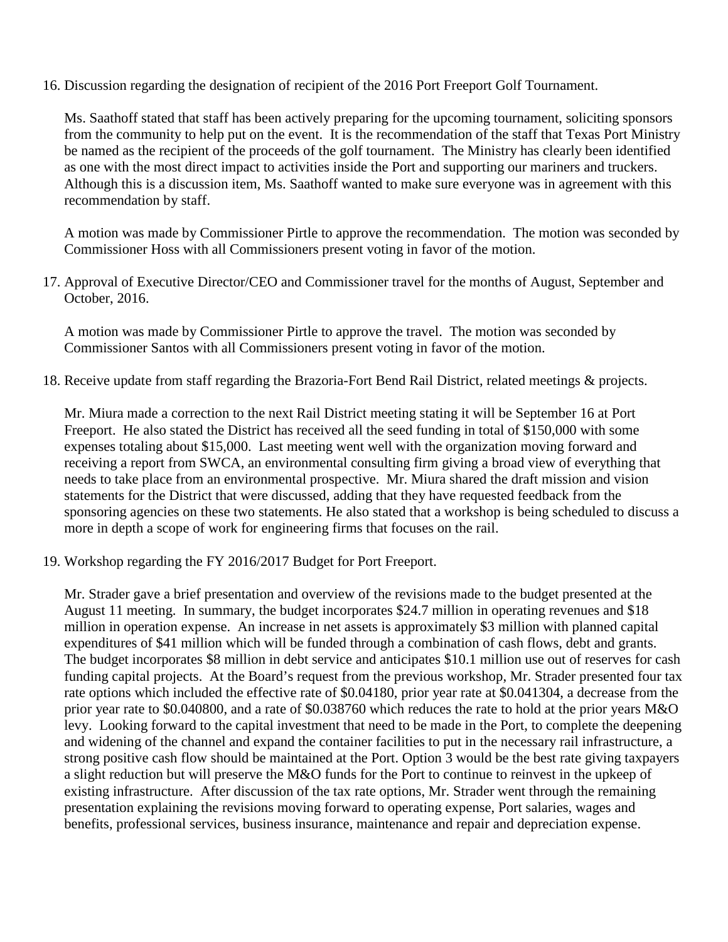16. Discussion regarding the designation of recipient of the 2016 Port Freeport Golf Tournament.

Ms. Saathoff stated that staff has been actively preparing for the upcoming tournament, soliciting sponsors from the community to help put on the event. It is the recommendation of the staff that Texas Port Ministry be named as the recipient of the proceeds of the golf tournament. The Ministry has clearly been identified as one with the most direct impact to activities inside the Port and supporting our mariners and truckers. Although this is a discussion item, Ms. Saathoff wanted to make sure everyone was in agreement with this recommendation by staff.

A motion was made by Commissioner Pirtle to approve the recommendation. The motion was seconded by Commissioner Hoss with all Commissioners present voting in favor of the motion.

17. Approval of Executive Director/CEO and Commissioner travel for the months of August, September and October, 2016.

A motion was made by Commissioner Pirtle to approve the travel. The motion was seconded by Commissioner Santos with all Commissioners present voting in favor of the motion.

18. Receive update from staff regarding the Brazoria-Fort Bend Rail District, related meetings & projects.

Mr. Miura made a correction to the next Rail District meeting stating it will be September 16 at Port Freeport. He also stated the District has received all the seed funding in total of \$150,000 with some expenses totaling about \$15,000. Last meeting went well with the organization moving forward and receiving a report from SWCA, an environmental consulting firm giving a broad view of everything that needs to take place from an environmental prospective. Mr. Miura shared the draft mission and vision statements for the District that were discussed, adding that they have requested feedback from the sponsoring agencies on these two statements. He also stated that a workshop is being scheduled to discuss a more in depth a scope of work for engineering firms that focuses on the rail.

19. Workshop regarding the FY 2016/2017 Budget for Port Freeport.

Mr. Strader gave a brief presentation and overview of the revisions made to the budget presented at the August 11 meeting. In summary, the budget incorporates \$24.7 million in operating revenues and \$18 million in operation expense. An increase in net assets is approximately \$3 million with planned capital expenditures of \$41 million which will be funded through a combination of cash flows, debt and grants. The budget incorporates \$8 million in debt service and anticipates \$10.1 million use out of reserves for cash funding capital projects. At the Board's request from the previous workshop, Mr. Strader presented four tax rate options which included the effective rate of \$0.04180, prior year rate at \$0.041304, a decrease from the prior year rate to \$0.040800, and a rate of \$0.038760 which reduces the rate to hold at the prior years M&O levy. Looking forward to the capital investment that need to be made in the Port, to complete the deepening and widening of the channel and expand the container facilities to put in the necessary rail infrastructure, a strong positive cash flow should be maintained at the Port. Option 3 would be the best rate giving taxpayers a slight reduction but will preserve the M&O funds for the Port to continue to reinvest in the upkeep of existing infrastructure. After discussion of the tax rate options, Mr. Strader went through the remaining presentation explaining the revisions moving forward to operating expense, Port salaries, wages and benefits, professional services, business insurance, maintenance and repair and depreciation expense.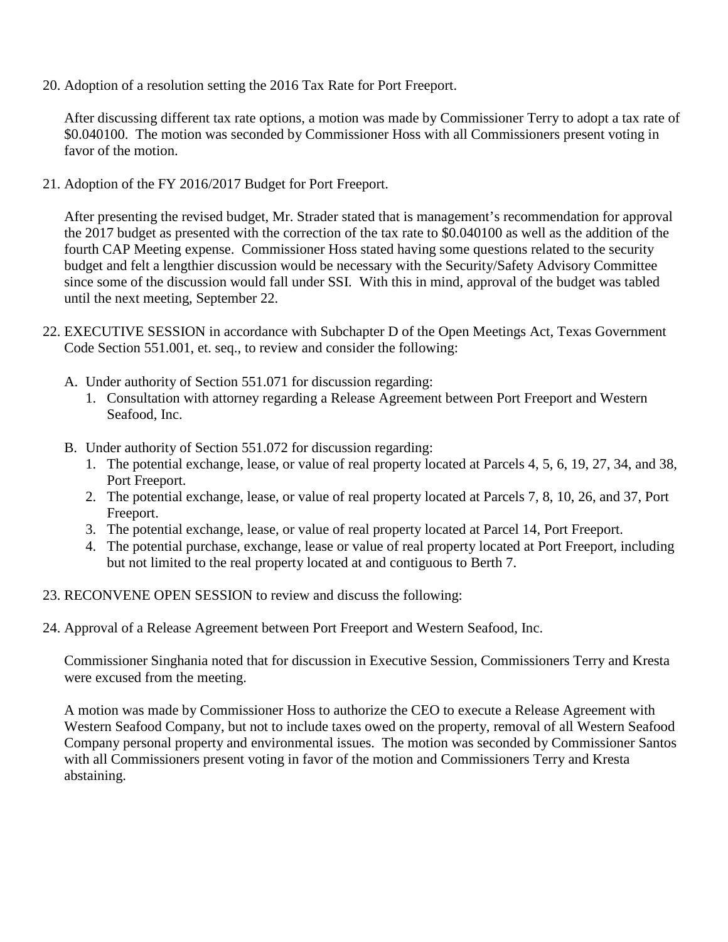20. Adoption of a resolution setting the 2016 Tax Rate for Port Freeport.

After discussing different tax rate options, a motion was made by Commissioner Terry to adopt a tax rate of \$0.040100. The motion was seconded by Commissioner Hoss with all Commissioners present voting in favor of the motion.

21. Adoption of the FY 2016/2017 Budget for Port Freeport.

After presenting the revised budget, Mr. Strader stated that is management's recommendation for approval the 2017 budget as presented with the correction of the tax rate to \$0.040100 as well as the addition of the fourth CAP Meeting expense. Commissioner Hoss stated having some questions related to the security budget and felt a lengthier discussion would be necessary with the Security/Safety Advisory Committee since some of the discussion would fall under SSI. With this in mind, approval of the budget was tabled until the next meeting, September 22.

- 22. EXECUTIVE SESSION in accordance with Subchapter D of the Open Meetings Act, Texas Government Code Section 551.001, et. seq., to review and consider the following:
	- A. Under authority of Section 551.071 for discussion regarding:
		- 1. Consultation with attorney regarding a Release Agreement between Port Freeport and Western Seafood, Inc.
	- B. Under authority of Section 551.072 for discussion regarding:
		- 1. The potential exchange, lease, or value of real property located at Parcels 4, 5, 6, 19, 27, 34, and 38, Port Freeport.
		- 2. The potential exchange, lease, or value of real property located at Parcels 7, 8, 10, 26, and 37, Port Freeport.
		- 3. The potential exchange, lease, or value of real property located at Parcel 14, Port Freeport.
		- 4. The potential purchase, exchange, lease or value of real property located at Port Freeport, including but not limited to the real property located at and contiguous to Berth 7.
- 23. RECONVENE OPEN SESSION to review and discuss the following:
- 24. Approval of a Release Agreement between Port Freeport and Western Seafood, Inc.

Commissioner Singhania noted that for discussion in Executive Session, Commissioners Terry and Kresta were excused from the meeting.

A motion was made by Commissioner Hoss to authorize the CEO to execute a Release Agreement with Western Seafood Company, but not to include taxes owed on the property, removal of all Western Seafood Company personal property and environmental issues. The motion was seconded by Commissioner Santos with all Commissioners present voting in favor of the motion and Commissioners Terry and Kresta abstaining.